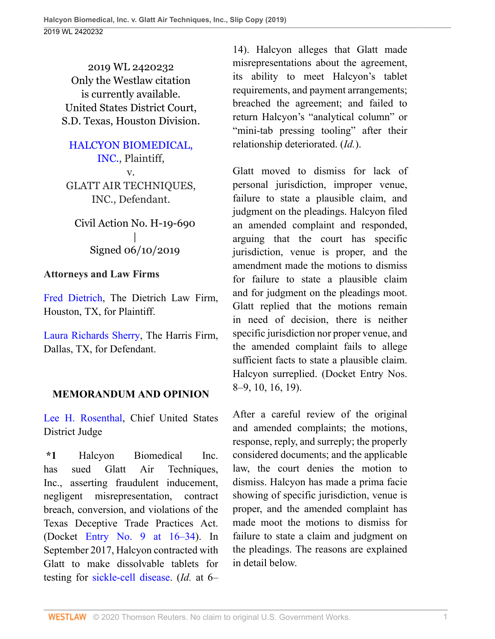2019 WL 2420232 Only the Westlaw citation is currently available. United States District Court, S.D. Texas, Houston Division.

[HALCYON BIOMEDICAL,](http://www.westlaw.com/Search/Results.html?query=advanced%3a+OAID(5046437141)&saveJuris=False&contentType=BUSINESS-INVESTIGATOR&startIndex=1&contextData=(sc.Default)&categoryPageUrl=Home%2fCompanyInvestigator&originationContext=document&vr=3.0&rs=cblt1.0&transitionType=DocumentItem) [INC.](http://www.westlaw.com/Search/Results.html?query=advanced%3a+OAID(5046437141)&saveJuris=False&contentType=BUSINESS-INVESTIGATOR&startIndex=1&contextData=(sc.Default)&categoryPageUrl=Home%2fCompanyInvestigator&originationContext=document&vr=3.0&rs=cblt1.0&transitionType=DocumentItem), Plaintiff, v. GLATT AIR TECHNIQUES, INC., Defendant.

Civil Action No. H-19-690 | Signed 06/10/2019

# **Attorneys and Law Firms**

[Fred Dietrich,](http://www.westlaw.com/Link/Document/FullText?findType=h&pubNum=176284&cite=0302315701&originatingDoc=Iea98eb908c0b11e998e8870e22e55653&refType=RQ&originationContext=document&vr=3.0&rs=cblt1.0&transitionType=DocumentItem&contextData=(sc.UserEnteredCitation)) The Dietrich Law Firm, Houston, TX, for Plaintiff.

[Laura Richards Sherry](http://www.westlaw.com/Link/Document/FullText?findType=h&pubNum=176284&cite=0373514501&originatingDoc=Iea98eb908c0b11e998e8870e22e55653&refType=RQ&originationContext=document&vr=3.0&rs=cblt1.0&transitionType=DocumentItem&contextData=(sc.UserEnteredCitation)), The Harris Firm, Dallas, TX, for Defendant.

# **MEMORANDUM AND OPINION**

[Lee H. Rosenthal](http://www.westlaw.com/Link/Document/FullText?findType=h&pubNum=176284&cite=0223843401&originatingDoc=Iea98eb908c0b11e998e8870e22e55653&refType=RQ&originationContext=document&vr=3.0&rs=cblt1.0&transitionType=DocumentItem&contextData=(sc.UserEnteredCitation)), Chief United States District Judge

**\*1** Halcyon Biomedical Inc. has sued Glatt Air Techniques, Inc., asserting fraudulent inducement, negligent misrepresentation, contract breach, conversion, and violations of the Texas Deceptive Trade Practices Act. (Docket [Entry No. 9 at 16–34\)](http://www.westlaw.com/Link/Document/FullText?findType=Y&serNum=1992173874&pubNum=0003024&originatingDoc=Iea98eb908c0b11e998e8870e22e55653&refType=RP&fi=co_pp_sp_3024_16&originationContext=document&vr=3.0&rs=cblt1.0&transitionType=DocumentItem&contextData=(sc.UserEnteredCitation)#co_pp_sp_3024_16). In September 2017, Halcyon contracted with Glatt to make dissolvable tablets for testing for [sickle-cell disease](http://www.westlaw.com/Link/Document/FullText?entityType=disease&entityId=Ic9d53631475411db9765f9243f53508a&originationContext=document&transitionType=DocumentItem&contextData=(sc.Default)&vr=3.0&rs=cblt1.0). (*Id.* at 6–

14). Halcyon alleges that Glatt made misrepresentations about the agreement, its ability to meet Halcyon's tablet requirements, and payment arrangements; breached the agreement; and failed to return Halcyon's "analytical column" or "mini-tab pressing tooling" after their relationship deteriorated. (*Id.*).

Glatt moved to dismiss for lack of personal jurisdiction, improper venue, failure to state a plausible claim, and judgment on the pleadings. Halcyon filed an amended complaint and responded, arguing that the court has specific jurisdiction, venue is proper, and the amendment made the motions to dismiss for failure to state a plausible claim and for judgment on the pleadings moot. Glatt replied that the motions remain in need of decision, there is neither specific jurisdiction nor proper venue, and the amended complaint fails to allege sufficient facts to state a plausible claim. Halcyon surreplied. (Docket Entry Nos. 8–9, 10, 16, 19).

After a careful review of the original and amended complaints; the motions, response, reply, and surreply; the properly considered documents; and the applicable law, the court denies the motion to dismiss. Halcyon has made a prima facie showing of specific jurisdiction, venue is proper, and the amended complaint has made moot the motions to dismiss for failure to state a claim and judgment on the pleadings. The reasons are explained in detail below.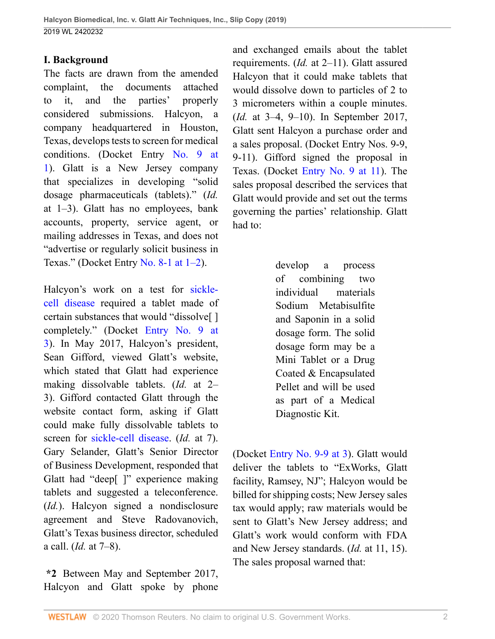# **I. Background**

The facts are drawn from the amended complaint, the documents attached to it, and the parties' properly considered submissions. Halcyon, a company headquartered in Houston, Texas, develops tests to screen for medical conditions. (Docket Entry [No. 9 at](http://www.westlaw.com/Link/Document/FullText?findType=Y&serNum=1992173874&pubNum=0003024&originatingDoc=Iea98eb908c0b11e998e8870e22e55653&refType=RP&originationContext=document&vr=3.0&rs=cblt1.0&transitionType=DocumentItem&contextData=(sc.UserEnteredCitation)) [1](http://www.westlaw.com/Link/Document/FullText?findType=Y&serNum=1992173874&pubNum=0003024&originatingDoc=Iea98eb908c0b11e998e8870e22e55653&refType=RP&originationContext=document&vr=3.0&rs=cblt1.0&transitionType=DocumentItem&contextData=(sc.UserEnteredCitation))). Glatt is a New Jersey company that specializes in developing "solid dosage pharmaceuticals (tablets)." (*Id.* at 1–3). Glatt has no employees, bank accounts, property, service agent, or mailing addresses in Texas, and does not "advertise or regularly solicit business in Texas." (Docket Entry No. 8-1 at  $1-2$ ).

Halcyon's work on a test for [sickle](http://www.westlaw.com/Link/Document/FullText?entityType=disease&entityId=Ic9d53631475411db9765f9243f53508a&originationContext=document&transitionType=DocumentItem&contextData=(sc.Default)&vr=3.0&rs=cblt1.0)[cell disease](http://www.westlaw.com/Link/Document/FullText?entityType=disease&entityId=Ic9d53631475411db9765f9243f53508a&originationContext=document&transitionType=DocumentItem&contextData=(sc.Default)&vr=3.0&rs=cblt1.0) required a tablet made of certain substances that would "dissolve[ ] completely." (Docket [Entry No. 9 at](http://www.westlaw.com/Link/Document/FullText?findType=Y&serNum=1992173874&pubNum=0003024&originatingDoc=Iea98eb908c0b11e998e8870e22e55653&refType=RP&originationContext=document&vr=3.0&rs=cblt1.0&transitionType=DocumentItem&contextData=(sc.UserEnteredCitation)) [3](http://www.westlaw.com/Link/Document/FullText?findType=Y&serNum=1992173874&pubNum=0003024&originatingDoc=Iea98eb908c0b11e998e8870e22e55653&refType=RP&originationContext=document&vr=3.0&rs=cblt1.0&transitionType=DocumentItem&contextData=(sc.UserEnteredCitation))). In May 2017, Halcyon's president, Sean Gifford, viewed Glatt's website, which stated that Glatt had experience making dissolvable tablets. (*Id.* at 2– 3). Gifford contacted Glatt through the website contact form, asking if Glatt could make fully dissolvable tablets to screen for [sickle-cell disease](http://www.westlaw.com/Link/Document/FullText?entityType=disease&entityId=Ic9d53631475411db9765f9243f53508a&originationContext=document&transitionType=DocumentItem&contextData=(sc.Default)&vr=3.0&rs=cblt1.0). (*Id.* at 7). Gary Selander, Glatt's Senior Director of Business Development, responded that Glatt had "deep[ ]" experience making tablets and suggested a teleconference. (*Id.*). Halcyon signed a nondisclosure agreement and Steve Radovanovich, Glatt's Texas business director, scheduled a call. (*Id.* at 7–8).

**\*2** Between May and September 2017, Halcyon and Glatt spoke by phone and exchanged emails about the tablet requirements. (*Id.* at 2–11). Glatt assured Halcyon that it could make tablets that would dissolve down to particles of 2 to 3 micrometers within a couple minutes. (*Id.* at 3–4, 9–10). In September 2017, Glatt sent Halcyon a purchase order and a sales proposal. (Docket Entry Nos. 9-9, 9-11). Gifford signed the proposal in Texas. (Docket [Entry No. 9 at 11\)](http://www.westlaw.com/Link/Document/FullText?findType=Y&serNum=1992173874&pubNum=0003024&originatingDoc=Iea98eb908c0b11e998e8870e22e55653&refType=RP&fi=co_pp_sp_3024_11&originationContext=document&vr=3.0&rs=cblt1.0&transitionType=DocumentItem&contextData=(sc.UserEnteredCitation)#co_pp_sp_3024_11). The sales proposal described the services that Glatt would provide and set out the terms governing the parties' relationship. Glatt had to:

> develop a process of combining two individual materials Sodium Metabisulfite and Saponin in a solid dosage form. The solid dosage form may be a Mini Tablet or a Drug Coated & Encapsulated Pellet and will be used as part of a Medical Diagnostic Kit.

(Docket [Entry No. 9-9 at 3](http://www.westlaw.com/Link/Document/FullText?findType=Y&serNum=1992173874&pubNum=0003024&originatingDoc=Iea98eb908c0b11e998e8870e22e55653&refType=RP&fi=co_pp_sp_3024_9&originationContext=document&vr=3.0&rs=cblt1.0&transitionType=DocumentItem&contextData=(sc.UserEnteredCitation)#co_pp_sp_3024_9)). Glatt would deliver the tablets to "ExWorks, Glatt facility, Ramsey, NJ"; Halcyon would be billed for shipping costs; New Jersey sales tax would apply; raw materials would be sent to Glatt's New Jersey address; and Glatt's work would conform with FDA and New Jersey standards. (*Id.* at 11, 15). The sales proposal warned that: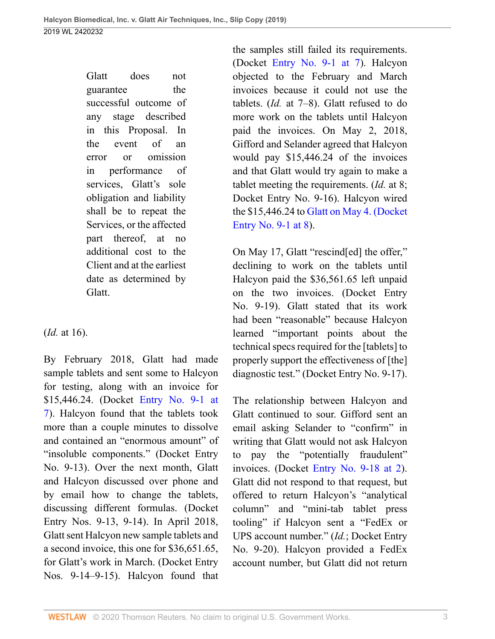Glatt does not guarantee the successful outcome of any stage described in this Proposal. In the event of an error or omission in performance of services, Glatt's sole obligation and liability shall be to repeat the Services, or the affected part thereof, at no additional cost to the Client and at the earliest date as determined by Glatt.

(*Id.* at 16).

By February 2018, Glatt had made sample tablets and sent some to Halcyon for testing, along with an invoice for \$15,446.24. (Docket [Entry No. 9-1 at](http://www.westlaw.com/Link/Document/FullText?findType=Y&serNum=1992173874&pubNum=0003024&originatingDoc=Iea98eb908c0b11e998e8870e22e55653&refType=RP&originationContext=document&vr=3.0&rs=cblt1.0&transitionType=DocumentItem&contextData=(sc.UserEnteredCitation)) [7](http://www.westlaw.com/Link/Document/FullText?findType=Y&serNum=1992173874&pubNum=0003024&originatingDoc=Iea98eb908c0b11e998e8870e22e55653&refType=RP&originationContext=document&vr=3.0&rs=cblt1.0&transitionType=DocumentItem&contextData=(sc.UserEnteredCitation))). Halcyon found that the tablets took more than a couple minutes to dissolve and contained an "enormous amount" of "insoluble components." (Docket Entry No. 9-13). Over the next month, Glatt and Halcyon discussed over phone and by email how to change the tablets, discussing different formulas. (Docket Entry Nos. 9-13, 9-14). In April 2018, Glatt sent Halcyon new sample tablets and a second invoice, this one for \$36,651.65, for Glatt's work in March. (Docket Entry Nos. 9-14–9-15). Halcyon found that the samples still failed its requirements. (Docket [Entry No. 9-1 at 7\)](http://www.westlaw.com/Link/Document/FullText?findType=Y&serNum=1992173874&pubNum=0003024&originatingDoc=Iea98eb908c0b11e998e8870e22e55653&refType=RP&originationContext=document&vr=3.0&rs=cblt1.0&transitionType=DocumentItem&contextData=(sc.UserEnteredCitation)). Halcyon objected to the February and March invoices because it could not use the tablets. (*Id.* at 7–8). Glatt refused to do more work on the tablets until Halcyon paid the invoices. On May 2, 2018, Gifford and Selander agreed that Halcyon would pay \$15,446.24 of the invoices and that Glatt would try again to make a tablet meeting the requirements. (*Id.* at 8; Docket Entry No. 9-16). Halcyon wired the \$15,446.24 to [Glatt on May 4. \(Docket](http://www.westlaw.com/Link/Document/FullText?findType=Y&serNum=1995233723&pubNum=0003024&originatingDoc=Iea98eb908c0b11e998e8870e22e55653&refType=RP&originationContext=document&vr=3.0&rs=cblt1.0&transitionType=DocumentItem&contextData=(sc.UserEnteredCitation)) [Entry No. 9-1 at 8](http://www.westlaw.com/Link/Document/FullText?findType=Y&serNum=1995233723&pubNum=0003024&originatingDoc=Iea98eb908c0b11e998e8870e22e55653&refType=RP&originationContext=document&vr=3.0&rs=cblt1.0&transitionType=DocumentItem&contextData=(sc.UserEnteredCitation))).

On May 17, Glatt "rescind[ed] the offer," declining to work on the tablets until Halcyon paid the \$36,561.65 left unpaid on the two invoices. (Docket Entry No. 9-19). Glatt stated that its work had been "reasonable" because Halcyon learned "important points about the technical specs required for the [tablets] to properly support the effectiveness of [the] diagnostic test." (Docket Entry No. 9-17).

The relationship between Halcyon and Glatt continued to sour. Gifford sent an email asking Selander to "confirm" in writing that Glatt would not ask Halcyon to pay the "potentially fraudulent" invoices. (Docket [Entry No. 9-18 at 2](http://www.westlaw.com/Link/Document/FullText?findType=Y&serNum=1992173874&pubNum=0003024&originatingDoc=Iea98eb908c0b11e998e8870e22e55653&refType=RP&fi=co_pp_sp_3024_18&originationContext=document&vr=3.0&rs=cblt1.0&transitionType=DocumentItem&contextData=(sc.UserEnteredCitation)#co_pp_sp_3024_18)). Glatt did not respond to that request, but offered to return Halcyon's "analytical column" and "mini-tab tablet press tooling" if Halcyon sent a "FedEx or UPS account number." (*Id.*; Docket Entry No. 9-20). Halcyon provided a FedEx account number, but Glatt did not return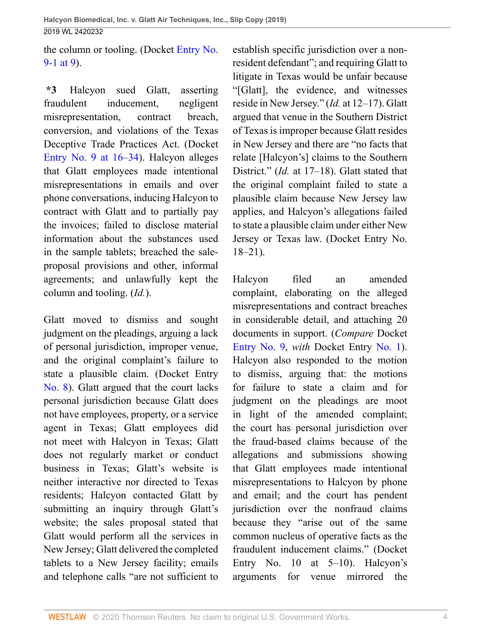the column or tooling. (Docket [Entry No.](http://www.westlaw.com/Link/Document/FullText?findType=Y&serNum=1992173874&pubNum=0003024&originatingDoc=Iea98eb908c0b11e998e8870e22e55653&refType=RP&originationContext=document&vr=3.0&rs=cblt1.0&transitionType=DocumentItem&contextData=(sc.UserEnteredCitation)) [9-1 at 9\)](http://www.westlaw.com/Link/Document/FullText?findType=Y&serNum=1992173874&pubNum=0003024&originatingDoc=Iea98eb908c0b11e998e8870e22e55653&refType=RP&originationContext=document&vr=3.0&rs=cblt1.0&transitionType=DocumentItem&contextData=(sc.UserEnteredCitation)).

**\*3** Halcyon sued Glatt, asserting fraudulent inducement, negligent misrepresentation, contract breach, conversion, and violations of the Texas Deceptive Trade Practices Act. (Docket [Entry No. 9 at 16–34\)](http://www.westlaw.com/Link/Document/FullText?findType=Y&serNum=1992173874&pubNum=0003024&originatingDoc=Iea98eb908c0b11e998e8870e22e55653&refType=RP&fi=co_pp_sp_3024_16&originationContext=document&vr=3.0&rs=cblt1.0&transitionType=DocumentItem&contextData=(sc.UserEnteredCitation)#co_pp_sp_3024_16). Halcyon alleges that Glatt employees made intentional misrepresentations in emails and over phone conversations, inducing Halcyon to contract with Glatt and to partially pay the invoices; failed to disclose material information about the substances used in the sample tablets; breached the saleproposal provisions and other, informal agreements; and unlawfully kept the column and tooling. (*Id.*).

Glatt moved to dismiss and sought judgment on the pleadings, arguing a lack of personal jurisdiction, improper venue, and the original complaint's failure to state a plausible claim. (Docket Entry [No. 8](http://www.westlaw.com/Link/Document/FullText?findType=Y&pubNum=0003024&cite=NO8&originatingDoc=Iea98eb908c0b11e998e8870e22e55653&refType=RP&originationContext=document&vr=3.0&rs=cblt1.0&transitionType=DocumentItem&contextData=(sc.UserEnteredCitation))). Glatt argued that the court lacks personal jurisdiction because Glatt does not have employees, property, or a service agent in Texas; Glatt employees did not meet with Halcyon in Texas; Glatt does not regularly market or conduct business in Texas; Glatt's website is neither interactive nor directed to Texas residents; Halcyon contacted Glatt by submitting an inquiry through Glatt's website; the sales proposal stated that Glatt would perform all the services in New Jersey; Glatt delivered the completed tablets to a New Jersey facility; emails and telephone calls "are not sufficient to

establish specific jurisdiction over a nonresident defendant"; and requiring Glatt to litigate in Texas would be unfair because "[Glatt], the evidence, and witnesses reside in New Jersey." (*Id.* at 12–17). Glatt argued that venue in the Southern District of Texas is improper because Glatt resides in New Jersey and there are "no facts that relate [Halcyon's] claims to the Southern District." (*Id.* at 17–18). Glatt stated that the original complaint failed to state a plausible claim because New Jersey law applies, and Halcyon's allegations failed to state a plausible claim under either New Jersey or Texas law. (Docket Entry No. 18–21).

Halcyon filed an amended complaint, elaborating on the alleged misrepresentations and contract breaches in considerable detail, and attaching 20 documents in support. (*Compare* Docket [Entry No. 9,](http://www.westlaw.com/Link/Document/FullText?findType=Y&serNum=1992173874&pubNum=0003024&originatingDoc=Iea98eb908c0b11e998e8870e22e55653&refType=RP&originationContext=document&vr=3.0&rs=cblt1.0&transitionType=DocumentItem&contextData=(sc.UserEnteredCitation)) *with* Docket Entry [No. 1](http://www.westlaw.com/Link/Document/FullText?findType=Y&pubNum=0003024&cite=NO1&originatingDoc=Iea98eb908c0b11e998e8870e22e55653&refType=RP&originationContext=document&vr=3.0&rs=cblt1.0&transitionType=DocumentItem&contextData=(sc.UserEnteredCitation))). Halcyon also responded to the motion to dismiss, arguing that: the motions for failure to state a claim and for judgment on the pleadings are moot in light of the amended complaint; the court has personal jurisdiction over the fraud-based claims because of the allegations and submissions showing that Glatt employees made intentional misrepresentations to Halcyon by phone and email; and the court has pendent jurisdiction over the nonfraud claims because they "arise out of the same common nucleus of operative facts as the fraudulent inducement claims." (Docket Entry No. 10 at  $5-10$ ). Halcyon's arguments for venue mirrored the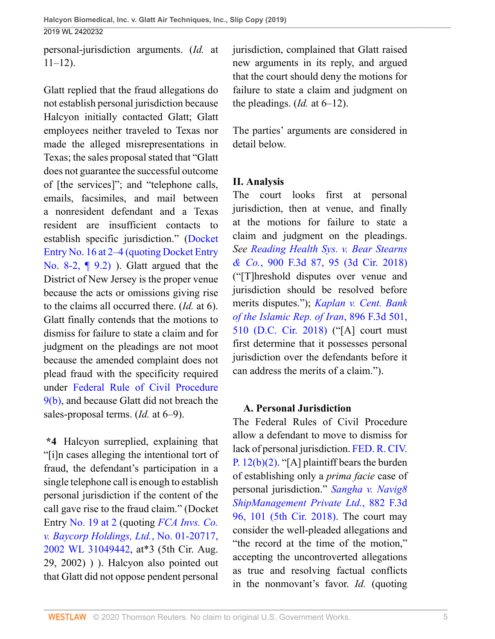personal-jurisdiction arguments. (*Id.* at  $11-12$ ).

Glatt replied that the fraud allegations do not establish personal jurisdiction because Halcyon initially contacted Glatt; Glatt employees neither traveled to Texas nor made the alleged misrepresentations in Texas; the sales proposal stated that "Glatt does not guarantee the successful outcome of [the services]"; and "telephone calls, emails, facsimiles, and mail between a nonresident defendant and a Texas resident are insufficient contacts to establish specific jurisdiction." [\(Docket](http://www.westlaw.com/Link/Document/FullText?findType=Y&pubNum=0003024&cite=NO16&originatingDoc=Iea98eb908c0b11e998e8870e22e55653&refType=RP&originationContext=document&vr=3.0&rs=cblt1.0&transitionType=DocumentItem&contextData=(sc.UserEnteredCitation)) [Entry No. 16 at 2–4 \(quoting Docket Entry](http://www.westlaw.com/Link/Document/FullText?findType=Y&pubNum=0003024&cite=NO16&originatingDoc=Iea98eb908c0b11e998e8870e22e55653&refType=RP&originationContext=document&vr=3.0&rs=cblt1.0&transitionType=DocumentItem&contextData=(sc.UserEnteredCitation)) [No. 8-2, ¶ 9.2\)](http://www.westlaw.com/Link/Document/FullText?findType=Y&pubNum=0003024&cite=NO16&originatingDoc=Iea98eb908c0b11e998e8870e22e55653&refType=RP&originationContext=document&vr=3.0&rs=cblt1.0&transitionType=DocumentItem&contextData=(sc.UserEnteredCitation)) ). Glatt argued that the District of New Jersey is the proper venue because the acts or omissions giving rise to the claims all occurred there. (*Id.* at 6). Glatt finally contends that the motions to dismiss for failure to state a claim and for judgment on the pleadings are not moot because the amended complaint does not plead fraud with the specificity required under [Federal Rule of Civil Procedure](http://www.westlaw.com/Link/Document/FullText?findType=L&pubNum=1000600&cite=USFRCPR9&originatingDoc=Iea98eb908c0b11e998e8870e22e55653&refType=LQ&originationContext=document&vr=3.0&rs=cblt1.0&transitionType=DocumentItem&contextData=(sc.UserEnteredCitation)) [9\(b\),](http://www.westlaw.com/Link/Document/FullText?findType=L&pubNum=1000600&cite=USFRCPR9&originatingDoc=Iea98eb908c0b11e998e8870e22e55653&refType=LQ&originationContext=document&vr=3.0&rs=cblt1.0&transitionType=DocumentItem&contextData=(sc.UserEnteredCitation)) and because Glatt did not breach the sales-proposal terms. (*Id.* at 6–9).

**\*4** Halcyon surreplied, explaining that "[i]n cases alleging the intentional tort of fraud, the defendant's participation in a single telephone call is enough to establish personal jurisdiction if the content of the call gave rise to the fraud claim." (Docket Entry [No. 19 at 2](http://www.westlaw.com/Link/Document/FullText?findType=Y&pubNum=0003024&cite=NO19&originatingDoc=Iea98eb908c0b11e998e8870e22e55653&refType=RP&originationContext=document&vr=3.0&rs=cblt1.0&transitionType=DocumentItem&contextData=(sc.UserEnteredCitation)) (quoting *[FCA Invs. Co.](http://www.westlaw.com/Link/Document/FullText?findType=Y&serNum=2002586847&pubNum=0000999&originatingDoc=Iea98eb908c0b11e998e8870e22e55653&refType=RP&originationContext=document&vr=3.0&rs=cblt1.0&transitionType=DocumentItem&contextData=(sc.UserEnteredCitation)) [v. Baycorp Holdings, Ltd.](http://www.westlaw.com/Link/Document/FullText?findType=Y&serNum=2002586847&pubNum=0000999&originatingDoc=Iea98eb908c0b11e998e8870e22e55653&refType=RP&originationContext=document&vr=3.0&rs=cblt1.0&transitionType=DocumentItem&contextData=(sc.UserEnteredCitation))*, No. 01-20717, [2002 WL 31049442](http://www.westlaw.com/Link/Document/FullText?findType=Y&serNum=2002586847&pubNum=0000999&originatingDoc=Iea98eb908c0b11e998e8870e22e55653&refType=RP&originationContext=document&vr=3.0&rs=cblt1.0&transitionType=DocumentItem&contextData=(sc.UserEnteredCitation)), at\*3 (5th Cir. Aug. 29, 2002) ) ). Halcyon also pointed out that Glatt did not oppose pendent personal

jurisdiction, complained that Glatt raised new arguments in its reply, and argued that the court should deny the motions for failure to state a claim and judgment on the pleadings.  $(Id.$  at  $6-12$ ).

The parties' arguments are considered in detail below.

# **II. Analysis**

The court looks first at personal jurisdiction, then at venue, and finally at the motions for failure to state a claim and judgment on the pleadings. *See [Reading Health Sys. v. Bear Stearns](http://www.westlaw.com/Link/Document/FullText?findType=Y&serNum=2045216996&pubNum=0000506&originatingDoc=Iea98eb908c0b11e998e8870e22e55653&refType=RP&fi=co_pp_sp_506_95&originationContext=document&vr=3.0&rs=cblt1.0&transitionType=DocumentItem&contextData=(sc.UserEnteredCitation)#co_pp_sp_506_95) & Co.*[, 900 F.3d 87, 95 \(3d Cir. 2018\)](http://www.westlaw.com/Link/Document/FullText?findType=Y&serNum=2045216996&pubNum=0000506&originatingDoc=Iea98eb908c0b11e998e8870e22e55653&refType=RP&fi=co_pp_sp_506_95&originationContext=document&vr=3.0&rs=cblt1.0&transitionType=DocumentItem&contextData=(sc.UserEnteredCitation)#co_pp_sp_506_95) ("[T]hreshold disputes over venue and jurisdiction should be resolved before merits disputes."); *[Kaplan v. Cent. Bank](http://www.westlaw.com/Link/Document/FullText?findType=Y&serNum=2045076131&pubNum=0000506&originatingDoc=Iea98eb908c0b11e998e8870e22e55653&refType=RP&fi=co_pp_sp_506_510&originationContext=document&vr=3.0&rs=cblt1.0&transitionType=DocumentItem&contextData=(sc.UserEnteredCitation)#co_pp_sp_506_510) [of the Islamic Rep. of Iran](http://www.westlaw.com/Link/Document/FullText?findType=Y&serNum=2045076131&pubNum=0000506&originatingDoc=Iea98eb908c0b11e998e8870e22e55653&refType=RP&fi=co_pp_sp_506_510&originationContext=document&vr=3.0&rs=cblt1.0&transitionType=DocumentItem&contextData=(sc.UserEnteredCitation)#co_pp_sp_506_510)*, 896 F.3d 501, [510 \(D.C. Cir. 2018\)](http://www.westlaw.com/Link/Document/FullText?findType=Y&serNum=2045076131&pubNum=0000506&originatingDoc=Iea98eb908c0b11e998e8870e22e55653&refType=RP&fi=co_pp_sp_506_510&originationContext=document&vr=3.0&rs=cblt1.0&transitionType=DocumentItem&contextData=(sc.UserEnteredCitation)#co_pp_sp_506_510) ("[A] court must first determine that it possesses personal jurisdiction over the defendants before it can address the merits of a claim.").

# **A. Personal Jurisdiction**

The Federal Rules of Civil Procedure allow a defendant to move to dismiss for lack of personal jurisdiction. [FED. R. CIV.](http://www.westlaw.com/Link/Document/FullText?findType=L&pubNum=1000600&cite=USFRCPR12&originatingDoc=Iea98eb908c0b11e998e8870e22e55653&refType=LQ&originationContext=document&vr=3.0&rs=cblt1.0&transitionType=DocumentItem&contextData=(sc.UserEnteredCitation)) P.  $12(b)(2)$ . "[A] plaintiff bears the burden of establishing only a *prima facie* case of personal jurisdiction." *[Sangha v. Navig8](http://www.westlaw.com/Link/Document/FullText?findType=Y&serNum=2043752710&pubNum=0000506&originatingDoc=Iea98eb908c0b11e998e8870e22e55653&refType=RP&fi=co_pp_sp_506_101&originationContext=document&vr=3.0&rs=cblt1.0&transitionType=DocumentItem&contextData=(sc.UserEnteredCitation)#co_pp_sp_506_101) [ShipManagement Private Ltd.](http://www.westlaw.com/Link/Document/FullText?findType=Y&serNum=2043752710&pubNum=0000506&originatingDoc=Iea98eb908c0b11e998e8870e22e55653&refType=RP&fi=co_pp_sp_506_101&originationContext=document&vr=3.0&rs=cblt1.0&transitionType=DocumentItem&contextData=(sc.UserEnteredCitation)#co_pp_sp_506_101)*, 882 F.3d [96, 101 \(5th Cir. 2018\)](http://www.westlaw.com/Link/Document/FullText?findType=Y&serNum=2043752710&pubNum=0000506&originatingDoc=Iea98eb908c0b11e998e8870e22e55653&refType=RP&fi=co_pp_sp_506_101&originationContext=document&vr=3.0&rs=cblt1.0&transitionType=DocumentItem&contextData=(sc.UserEnteredCitation)#co_pp_sp_506_101). The court may consider the well-pleaded allegations and "the record at the time of the motion," accepting the uncontroverted allegations as true and resolving factual conflicts in the nonmovant's favor. *Id.* (quoting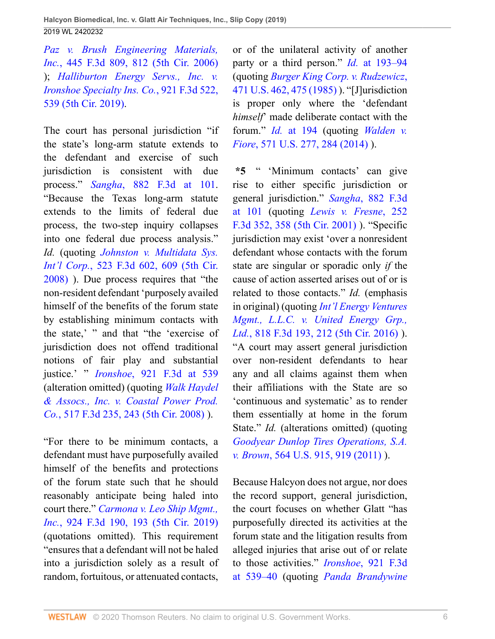*[Paz v. Brush Engineering Materials,](http://www.westlaw.com/Link/Document/FullText?findType=Y&serNum=2008880155&pubNum=0000506&originatingDoc=Iea98eb908c0b11e998e8870e22e55653&refType=RP&fi=co_pp_sp_506_812&originationContext=document&vr=3.0&rs=cblt1.0&transitionType=DocumentItem&contextData=(sc.UserEnteredCitation)#co_pp_sp_506_812) Inc.*[, 445 F.3d 809, 812 \(5th Cir. 2006\)](http://www.westlaw.com/Link/Document/FullText?findType=Y&serNum=2008880155&pubNum=0000506&originatingDoc=Iea98eb908c0b11e998e8870e22e55653&refType=RP&fi=co_pp_sp_506_812&originationContext=document&vr=3.0&rs=cblt1.0&transitionType=DocumentItem&contextData=(sc.UserEnteredCitation)#co_pp_sp_506_812) ); *[Halliburton Energy Servs., Inc. v.](http://www.westlaw.com/Link/Document/FullText?findType=Y&serNum=2048054876&pubNum=0000506&originatingDoc=Iea98eb908c0b11e998e8870e22e55653&refType=RP&fi=co_pp_sp_506_539&originationContext=document&vr=3.0&rs=cblt1.0&transitionType=DocumentItem&contextData=(sc.UserEnteredCitation)#co_pp_sp_506_539) [Ironshoe Specialty Ins. Co.](http://www.westlaw.com/Link/Document/FullText?findType=Y&serNum=2048054876&pubNum=0000506&originatingDoc=Iea98eb908c0b11e998e8870e22e55653&refType=RP&fi=co_pp_sp_506_539&originationContext=document&vr=3.0&rs=cblt1.0&transitionType=DocumentItem&contextData=(sc.UserEnteredCitation)#co_pp_sp_506_539)*, 921 F.3d 522, [539 \(5th Cir. 2019\).](http://www.westlaw.com/Link/Document/FullText?findType=Y&serNum=2048054876&pubNum=0000506&originatingDoc=Iea98eb908c0b11e998e8870e22e55653&refType=RP&fi=co_pp_sp_506_539&originationContext=document&vr=3.0&rs=cblt1.0&transitionType=DocumentItem&contextData=(sc.UserEnteredCitation)#co_pp_sp_506_539)

The court has personal jurisdiction "if the state's long-arm statute extends to the defendant and exercise of such jurisdiction is consistent with due process." *Sangha*[, 882 F.3d at 101.](http://www.westlaw.com/Link/Document/FullText?findType=Y&serNum=2043752710&pubNum=0000506&originatingDoc=Iea98eb908c0b11e998e8870e22e55653&refType=RP&fi=co_pp_sp_506_101&originationContext=document&vr=3.0&rs=cblt1.0&transitionType=DocumentItem&contextData=(sc.UserEnteredCitation)#co_pp_sp_506_101) "Because the Texas long-arm statute extends to the limits of federal due process, the two-step inquiry collapses into one federal due process analysis." *Id.* (quoting *[Johnston v. Multidata Sys.](http://www.westlaw.com/Link/Document/FullText?findType=Y&serNum=2015726700&pubNum=0000506&originatingDoc=Iea98eb908c0b11e998e8870e22e55653&refType=RP&fi=co_pp_sp_506_609&originationContext=document&vr=3.0&rs=cblt1.0&transitionType=DocumentItem&contextData=(sc.UserEnteredCitation)#co_pp_sp_506_609) Int'l Corp.*[, 523 F.3d 602, 609 \(5th Cir.](http://www.westlaw.com/Link/Document/FullText?findType=Y&serNum=2015726700&pubNum=0000506&originatingDoc=Iea98eb908c0b11e998e8870e22e55653&refType=RP&fi=co_pp_sp_506_609&originationContext=document&vr=3.0&rs=cblt1.0&transitionType=DocumentItem&contextData=(sc.UserEnteredCitation)#co_pp_sp_506_609) [2008\)](http://www.westlaw.com/Link/Document/FullText?findType=Y&serNum=2015726700&pubNum=0000506&originatingDoc=Iea98eb908c0b11e998e8870e22e55653&refType=RP&fi=co_pp_sp_506_609&originationContext=document&vr=3.0&rs=cblt1.0&transitionType=DocumentItem&contextData=(sc.UserEnteredCitation)#co_pp_sp_506_609) ). Due process requires that "the non-resident defendant 'purposely availed himself of the benefits of the forum state by establishing minimum contacts with the state,' " and that "the 'exercise of jurisdiction does not offend traditional notions of fair play and substantial justice.' " *Ironshoe*[, 921 F.3d at 539](http://www.westlaw.com/Link/Document/FullText?findType=Y&serNum=2048054876&pubNum=0000506&originatingDoc=Iea98eb908c0b11e998e8870e22e55653&refType=RP&fi=co_pp_sp_506_539&originationContext=document&vr=3.0&rs=cblt1.0&transitionType=DocumentItem&contextData=(sc.UserEnteredCitation)#co_pp_sp_506_539) (alteration omitted) (quoting *[Walk Haydel](http://www.westlaw.com/Link/Document/FullText?findType=Y&serNum=2015135760&pubNum=0000506&originatingDoc=Iea98eb908c0b11e998e8870e22e55653&refType=RP&fi=co_pp_sp_506_243&originationContext=document&vr=3.0&rs=cblt1.0&transitionType=DocumentItem&contextData=(sc.UserEnteredCitation)#co_pp_sp_506_243) [& Assocs., Inc. v. Coastal Power Prod.](http://www.westlaw.com/Link/Document/FullText?findType=Y&serNum=2015135760&pubNum=0000506&originatingDoc=Iea98eb908c0b11e998e8870e22e55653&refType=RP&fi=co_pp_sp_506_243&originationContext=document&vr=3.0&rs=cblt1.0&transitionType=DocumentItem&contextData=(sc.UserEnteredCitation)#co_pp_sp_506_243) Co.*[, 517 F.3d 235, 243 \(5th Cir. 2008\)](http://www.westlaw.com/Link/Document/FullText?findType=Y&serNum=2015135760&pubNum=0000506&originatingDoc=Iea98eb908c0b11e998e8870e22e55653&refType=RP&fi=co_pp_sp_506_243&originationContext=document&vr=3.0&rs=cblt1.0&transitionType=DocumentItem&contextData=(sc.UserEnteredCitation)#co_pp_sp_506_243) ).

"For there to be minimum contacts, a defendant must have purposefully availed himself of the benefits and protections of the forum state such that he should reasonably anticipate being haled into court there." *[Carmona v. Leo Ship Mgmt.,](http://www.westlaw.com/Link/Document/FullText?findType=Y&serNum=2048242578&pubNum=0000506&originatingDoc=Iea98eb908c0b11e998e8870e22e55653&refType=RP&fi=co_pp_sp_506_193&originationContext=document&vr=3.0&rs=cblt1.0&transitionType=DocumentItem&contextData=(sc.UserEnteredCitation)#co_pp_sp_506_193) Inc.*[, 924 F.3d 190, 193 \(5th Cir. 2019\)](http://www.westlaw.com/Link/Document/FullText?findType=Y&serNum=2048242578&pubNum=0000506&originatingDoc=Iea98eb908c0b11e998e8870e22e55653&refType=RP&fi=co_pp_sp_506_193&originationContext=document&vr=3.0&rs=cblt1.0&transitionType=DocumentItem&contextData=(sc.UserEnteredCitation)#co_pp_sp_506_193) (quotations omitted). This requirement "ensures that a defendant will not be haled into a jurisdiction solely as a result of random, fortuitous, or attenuated contacts,

or of the unilateral activity of another party or a third person." *Id.* [at 193–94](http://www.westlaw.com/Link/Document/FullText?findType=Y&serNum=2048242578&pubNum=0000506&originatingDoc=Iea98eb908c0b11e998e8870e22e55653&refType=RP&fi=co_pp_sp_506_193&originationContext=document&vr=3.0&rs=cblt1.0&transitionType=DocumentItem&contextData=(sc.UserEnteredCitation)#co_pp_sp_506_193) (quoting *[Burger King Corp. v. Rudzewicz](http://www.westlaw.com/Link/Document/FullText?findType=Y&serNum=1985125841&pubNum=0000780&originatingDoc=Iea98eb908c0b11e998e8870e22e55653&refType=RP&fi=co_pp_sp_780_475&originationContext=document&vr=3.0&rs=cblt1.0&transitionType=DocumentItem&contextData=(sc.UserEnteredCitation)#co_pp_sp_780_475)*, [471 U.S. 462, 475 \(1985\)](http://www.westlaw.com/Link/Document/FullText?findType=Y&serNum=1985125841&pubNum=0000780&originatingDoc=Iea98eb908c0b11e998e8870e22e55653&refType=RP&fi=co_pp_sp_780_475&originationContext=document&vr=3.0&rs=cblt1.0&transitionType=DocumentItem&contextData=(sc.UserEnteredCitation)#co_pp_sp_780_475) ). "[J]urisdiction is proper only where the 'defendant *himself*' made deliberate contact with the forum." *Id.* [at 194](http://www.westlaw.com/Link/Document/FullText?findType=Y&serNum=2048242578&pubNum=0000506&originatingDoc=Iea98eb908c0b11e998e8870e22e55653&refType=RP&fi=co_pp_sp_506_194&originationContext=document&vr=3.0&rs=cblt1.0&transitionType=DocumentItem&contextData=(sc.UserEnteredCitation)#co_pp_sp_506_194) (quoting *[Walden v.](http://www.westlaw.com/Link/Document/FullText?findType=Y&serNum=2032778699&pubNum=0000780&originatingDoc=Iea98eb908c0b11e998e8870e22e55653&refType=RP&fi=co_pp_sp_780_284&originationContext=document&vr=3.0&rs=cblt1.0&transitionType=DocumentItem&contextData=(sc.UserEnteredCitation)#co_pp_sp_780_284) Fiore*[, 571 U.S. 277, 284 \(2014\) \)](http://www.westlaw.com/Link/Document/FullText?findType=Y&serNum=2032778699&pubNum=0000780&originatingDoc=Iea98eb908c0b11e998e8870e22e55653&refType=RP&fi=co_pp_sp_780_284&originationContext=document&vr=3.0&rs=cblt1.0&transitionType=DocumentItem&contextData=(sc.UserEnteredCitation)#co_pp_sp_780_284).

**\*5** " 'Minimum contacts' can give rise to either specific jurisdiction or general jurisdiction." *Sangha*[, 882 F.3d](http://www.westlaw.com/Link/Document/FullText?findType=Y&serNum=2043752710&pubNum=0000506&originatingDoc=Iea98eb908c0b11e998e8870e22e55653&refType=RP&fi=co_pp_sp_506_101&originationContext=document&vr=3.0&rs=cblt1.0&transitionType=DocumentItem&contextData=(sc.UserEnteredCitation)#co_pp_sp_506_101) [at 101](http://www.westlaw.com/Link/Document/FullText?findType=Y&serNum=2043752710&pubNum=0000506&originatingDoc=Iea98eb908c0b11e998e8870e22e55653&refType=RP&fi=co_pp_sp_506_101&originationContext=document&vr=3.0&rs=cblt1.0&transitionType=DocumentItem&contextData=(sc.UserEnteredCitation)#co_pp_sp_506_101) (quoting *[Lewis v. Fresne](http://www.westlaw.com/Link/Document/FullText?findType=Y&serNum=2001406638&pubNum=0000506&originatingDoc=Iea98eb908c0b11e998e8870e22e55653&refType=RP&fi=co_pp_sp_506_358&originationContext=document&vr=3.0&rs=cblt1.0&transitionType=DocumentItem&contextData=(sc.UserEnteredCitation)#co_pp_sp_506_358)*, 252 [F.3d 352, 358 \(5th Cir. 2001\) \)](http://www.westlaw.com/Link/Document/FullText?findType=Y&serNum=2001406638&pubNum=0000506&originatingDoc=Iea98eb908c0b11e998e8870e22e55653&refType=RP&fi=co_pp_sp_506_358&originationContext=document&vr=3.0&rs=cblt1.0&transitionType=DocumentItem&contextData=(sc.UserEnteredCitation)#co_pp_sp_506_358). "Specific jurisdiction may exist 'over a nonresident defendant whose contacts with the forum state are singular or sporadic only *if* the cause of action asserted arises out of or is related to those contacts." *Id.* (emphasis in original) (quoting *[Int'l Energy Ventures](http://www.westlaw.com/Link/Document/FullText?findType=Y&serNum=2038594900&pubNum=0000506&originatingDoc=Iea98eb908c0b11e998e8870e22e55653&refType=RP&fi=co_pp_sp_506_212&originationContext=document&vr=3.0&rs=cblt1.0&transitionType=DocumentItem&contextData=(sc.UserEnteredCitation)#co_pp_sp_506_212) [Mgmt., L.L.C. v. United Energy Grp.,](http://www.westlaw.com/Link/Document/FullText?findType=Y&serNum=2038594900&pubNum=0000506&originatingDoc=Iea98eb908c0b11e998e8870e22e55653&refType=RP&fi=co_pp_sp_506_212&originationContext=document&vr=3.0&rs=cblt1.0&transitionType=DocumentItem&contextData=(sc.UserEnteredCitation)#co_pp_sp_506_212) Ltd.*[, 818 F.3d 193, 212 \(5th Cir. 2016\)](http://www.westlaw.com/Link/Document/FullText?findType=Y&serNum=2038594900&pubNum=0000506&originatingDoc=Iea98eb908c0b11e998e8870e22e55653&refType=RP&fi=co_pp_sp_506_212&originationContext=document&vr=3.0&rs=cblt1.0&transitionType=DocumentItem&contextData=(sc.UserEnteredCitation)#co_pp_sp_506_212) ). "A court may assert general jurisdiction over non-resident defendants to hear any and all claims against them when their affiliations with the State are so 'continuous and systematic' as to render them essentially at home in the forum State." *Id.* (alterations omitted) (quoting *[Goodyear Dunlop Tires Operations, S.A.](http://www.westlaw.com/Link/Document/FullText?findType=Y&serNum=2025554476&pubNum=0000780&originatingDoc=Iea98eb908c0b11e998e8870e22e55653&refType=RP&fi=co_pp_sp_780_919&originationContext=document&vr=3.0&rs=cblt1.0&transitionType=DocumentItem&contextData=(sc.UserEnteredCitation)#co_pp_sp_780_919) v. Brown*[, 564 U.S. 915, 919 \(2011\)](http://www.westlaw.com/Link/Document/FullText?findType=Y&serNum=2025554476&pubNum=0000780&originatingDoc=Iea98eb908c0b11e998e8870e22e55653&refType=RP&fi=co_pp_sp_780_919&originationContext=document&vr=3.0&rs=cblt1.0&transitionType=DocumentItem&contextData=(sc.UserEnteredCitation)#co_pp_sp_780_919) ).

Because Halcyon does not argue, nor does the record support, general jurisdiction, the court focuses on whether Glatt "has purposefully directed its activities at the forum state and the litigation results from alleged injuries that arise out of or relate to those activities." *Ironshoe*[, 921 F.3d](http://www.westlaw.com/Link/Document/FullText?findType=Y&serNum=2048054876&pubNum=0000506&originatingDoc=Iea98eb908c0b11e998e8870e22e55653&refType=RP&fi=co_pp_sp_506_539&originationContext=document&vr=3.0&rs=cblt1.0&transitionType=DocumentItem&contextData=(sc.UserEnteredCitation)#co_pp_sp_506_539) [at 539–40](http://www.westlaw.com/Link/Document/FullText?findType=Y&serNum=2048054876&pubNum=0000506&originatingDoc=Iea98eb908c0b11e998e8870e22e55653&refType=RP&fi=co_pp_sp_506_539&originationContext=document&vr=3.0&rs=cblt1.0&transitionType=DocumentItem&contextData=(sc.UserEnteredCitation)#co_pp_sp_506_539) (quoting *[Panda Brandywine](http://www.westlaw.com/Link/Document/FullText?findType=Y&serNum=2001499927&pubNum=0000506&originatingDoc=Iea98eb908c0b11e998e8870e22e55653&refType=RP&fi=co_pp_sp_506_868&originationContext=document&vr=3.0&rs=cblt1.0&transitionType=DocumentItem&contextData=(sc.UserEnteredCitation)#co_pp_sp_506_868)*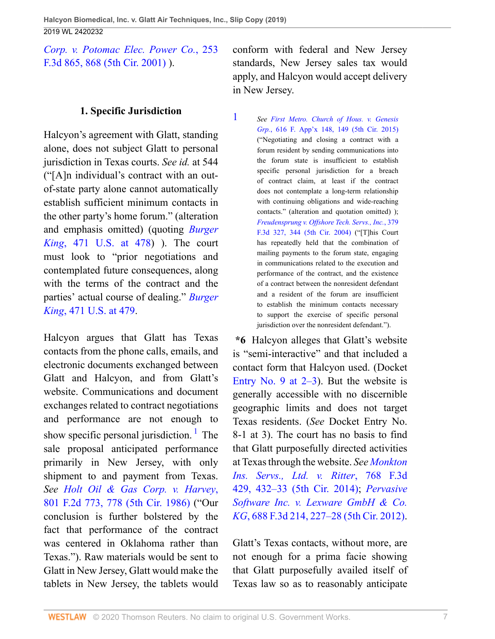*[Corp. v. Potomac Elec. Power Co.](http://www.westlaw.com/Link/Document/FullText?findType=Y&serNum=2001499927&pubNum=0000506&originatingDoc=Iea98eb908c0b11e998e8870e22e55653&refType=RP&fi=co_pp_sp_506_868&originationContext=document&vr=3.0&rs=cblt1.0&transitionType=DocumentItem&contextData=(sc.UserEnteredCitation)#co_pp_sp_506_868)*, 253 [F.3d 865, 868 \(5th Cir. 2001\) \)](http://www.westlaw.com/Link/Document/FullText?findType=Y&serNum=2001499927&pubNum=0000506&originatingDoc=Iea98eb908c0b11e998e8870e22e55653&refType=RP&fi=co_pp_sp_506_868&originationContext=document&vr=3.0&rs=cblt1.0&transitionType=DocumentItem&contextData=(sc.UserEnteredCitation)#co_pp_sp_506_868).

# **1. Specific Jurisdiction**

Halcyon's agreement with Glatt, standing alone, does not subject Glatt to personal jurisdiction in Texas courts. *See id.* at 544 ("[A]n individual's contract with an outof-state party alone cannot automatically establish sufficient minimum contacts in the other party's home forum." (alteration and emphasis omitted) (quoting *[Burger](http://www.westlaw.com/Link/Document/FullText?findType=Y&serNum=1985125841&pubNum=0000780&originatingDoc=Iea98eb908c0b11e998e8870e22e55653&refType=RP&fi=co_pp_sp_780_478&originationContext=document&vr=3.0&rs=cblt1.0&transitionType=DocumentItem&contextData=(sc.UserEnteredCitation)#co_pp_sp_780_478) King*[, 471 U.S. at 478\)](http://www.westlaw.com/Link/Document/FullText?findType=Y&serNum=1985125841&pubNum=0000780&originatingDoc=Iea98eb908c0b11e998e8870e22e55653&refType=RP&fi=co_pp_sp_780_478&originationContext=document&vr=3.0&rs=cblt1.0&transitionType=DocumentItem&contextData=(sc.UserEnteredCitation)#co_pp_sp_780_478) ). The court must look to "prior negotiations and contemplated future consequences, along with the terms of the contract and the parties' actual course of dealing." *[Burger](http://www.westlaw.com/Link/Document/FullText?findType=Y&serNum=1985125841&pubNum=0000780&originatingDoc=Iea98eb908c0b11e998e8870e22e55653&refType=RP&fi=co_pp_sp_780_479&originationContext=document&vr=3.0&rs=cblt1.0&transitionType=DocumentItem&contextData=(sc.UserEnteredCitation)#co_pp_sp_780_479) King*[, 471 U.S. at 479.](http://www.westlaw.com/Link/Document/FullText?findType=Y&serNum=1985125841&pubNum=0000780&originatingDoc=Iea98eb908c0b11e998e8870e22e55653&refType=RP&fi=co_pp_sp_780_479&originationContext=document&vr=3.0&rs=cblt1.0&transitionType=DocumentItem&contextData=(sc.UserEnteredCitation)#co_pp_sp_780_479)

Halcyon argues that Glatt has Texas contacts from the phone calls, emails, and electronic documents exchanged between Glatt and Halcyon, and from Glatt's website. Communications and document exchanges related to contract negotiations and performance are not enough to show specific personal jurisdiction.<sup>[1](#page-6-0)</sup> The sale proposal anticipated performance primarily in New Jersey, with only shipment to and payment from Texas. *See [Holt Oil & Gas Corp. v. Harvey](http://www.westlaw.com/Link/Document/FullText?findType=Y&serNum=1986149682&pubNum=0000350&originatingDoc=Iea98eb908c0b11e998e8870e22e55653&refType=RP&fi=co_pp_sp_350_778&originationContext=document&vr=3.0&rs=cblt1.0&transitionType=DocumentItem&contextData=(sc.UserEnteredCitation)#co_pp_sp_350_778)*, [801 F.2d 773, 778 \(5th Cir. 1986\)](http://www.westlaw.com/Link/Document/FullText?findType=Y&serNum=1986149682&pubNum=0000350&originatingDoc=Iea98eb908c0b11e998e8870e22e55653&refType=RP&fi=co_pp_sp_350_778&originationContext=document&vr=3.0&rs=cblt1.0&transitionType=DocumentItem&contextData=(sc.UserEnteredCitation)#co_pp_sp_350_778) ("Our conclusion is further bolstered by the fact that performance of the contract was centered in Oklahoma rather than Texas."). Raw materials would be sent to Glatt in New Jersey, Glatt would make the tablets in New Jersey, the tablets would

conform with federal and New Jersey standards, New Jersey sales tax would apply, and Halcyon would accept delivery in New Jersey.

<span id="page-6-0"></span>[1](#page-6-1) *See [First Metro. Church of Hous. v. Genesis](http://www.westlaw.com/Link/Document/FullText?findType=Y&serNum=2037181641&pubNum=0006538&originatingDoc=Iea98eb908c0b11e998e8870e22e55653&refType=RP&fi=co_pp_sp_6538_149&originationContext=document&vr=3.0&rs=cblt1.0&transitionType=DocumentItem&contextData=(sc.UserEnteredCitation)#co_pp_sp_6538_149) Grp.*[, 616 F. App'x 148, 149 \(5th Cir. 2015\)](http://www.westlaw.com/Link/Document/FullText?findType=Y&serNum=2037181641&pubNum=0006538&originatingDoc=Iea98eb908c0b11e998e8870e22e55653&refType=RP&fi=co_pp_sp_6538_149&originationContext=document&vr=3.0&rs=cblt1.0&transitionType=DocumentItem&contextData=(sc.UserEnteredCitation)#co_pp_sp_6538_149) ("Negotiating and closing a contract with a forum resident by sending communications into the forum state is insufficient to establish specific personal jurisdiction for a breach of contract claim, at least if the contract does not contemplate a long-term relationship with continuing obligations and wide-reaching contacts." (alteration and quotation omitted) ); *[Freudensprung v. Offshore Tech. Servs., Inc.](http://www.westlaw.com/Link/Document/FullText?findType=Y&serNum=2004746624&pubNum=0000506&originatingDoc=Iea98eb908c0b11e998e8870e22e55653&refType=RP&fi=co_pp_sp_506_344&originationContext=document&vr=3.0&rs=cblt1.0&transitionType=DocumentItem&contextData=(sc.UserEnteredCitation)#co_pp_sp_506_344)*, 379 [F.3d 327, 344 \(5th Cir. 2004\)](http://www.westlaw.com/Link/Document/FullText?findType=Y&serNum=2004746624&pubNum=0000506&originatingDoc=Iea98eb908c0b11e998e8870e22e55653&refType=RP&fi=co_pp_sp_506_344&originationContext=document&vr=3.0&rs=cblt1.0&transitionType=DocumentItem&contextData=(sc.UserEnteredCitation)#co_pp_sp_506_344) ("[T]his Court has repeatedly held that the combination of mailing payments to the forum state, engaging in communications related to the execution and performance of the contract, and the existence of a contract between the nonresident defendant and a resident of the forum are insufficient to establish the minimum contacts necessary to support the exercise of specific personal jurisdiction over the nonresident defendant.").

<span id="page-6-1"></span>**\*6** Halcyon alleges that Glatt's website is "semi-interactive" and that included a contact form that Halcyon used. (Docket Entry No. 9 at  $2-3$ ). But the website is generally accessible with no discernible geographic limits and does not target Texas residents. (*See* Docket Entry No. 8-1 at 3). The court has no basis to find that Glatt purposefully directed activities at Texas through the website. *See [Monkton](http://www.westlaw.com/Link/Document/FullText?findType=Y&serNum=2034393468&pubNum=0000506&originatingDoc=Iea98eb908c0b11e998e8870e22e55653&refType=RP&fi=co_pp_sp_506_432&originationContext=document&vr=3.0&rs=cblt1.0&transitionType=DocumentItem&contextData=(sc.UserEnteredCitation)#co_pp_sp_506_432) [Ins. Servs., Ltd. v. Ritter](http://www.westlaw.com/Link/Document/FullText?findType=Y&serNum=2034393468&pubNum=0000506&originatingDoc=Iea98eb908c0b11e998e8870e22e55653&refType=RP&fi=co_pp_sp_506_432&originationContext=document&vr=3.0&rs=cblt1.0&transitionType=DocumentItem&contextData=(sc.UserEnteredCitation)#co_pp_sp_506_432)*, 768 F.3d [429, 432–33 \(5th Cir. 2014\)](http://www.westlaw.com/Link/Document/FullText?findType=Y&serNum=2034393468&pubNum=0000506&originatingDoc=Iea98eb908c0b11e998e8870e22e55653&refType=RP&fi=co_pp_sp_506_432&originationContext=document&vr=3.0&rs=cblt1.0&transitionType=DocumentItem&contextData=(sc.UserEnteredCitation)#co_pp_sp_506_432); *[Pervasive](http://www.westlaw.com/Link/Document/FullText?findType=Y&serNum=2028247227&pubNum=0000506&originatingDoc=Iea98eb908c0b11e998e8870e22e55653&refType=RP&fi=co_pp_sp_506_227&originationContext=document&vr=3.0&rs=cblt1.0&transitionType=DocumentItem&contextData=(sc.UserEnteredCitation)#co_pp_sp_506_227) [Software Inc. v. Lexware GmbH & Co.](http://www.westlaw.com/Link/Document/FullText?findType=Y&serNum=2028247227&pubNum=0000506&originatingDoc=Iea98eb908c0b11e998e8870e22e55653&refType=RP&fi=co_pp_sp_506_227&originationContext=document&vr=3.0&rs=cblt1.0&transitionType=DocumentItem&contextData=(sc.UserEnteredCitation)#co_pp_sp_506_227) KG*[, 688 F.3d 214, 227–28 \(5th Cir. 2012\).](http://www.westlaw.com/Link/Document/FullText?findType=Y&serNum=2028247227&pubNum=0000506&originatingDoc=Iea98eb908c0b11e998e8870e22e55653&refType=RP&fi=co_pp_sp_506_227&originationContext=document&vr=3.0&rs=cblt1.0&transitionType=DocumentItem&contextData=(sc.UserEnteredCitation)#co_pp_sp_506_227)

Glatt's Texas contacts, without more, are not enough for a prima facie showing that Glatt purposefully availed itself of Texas law so as to reasonably anticipate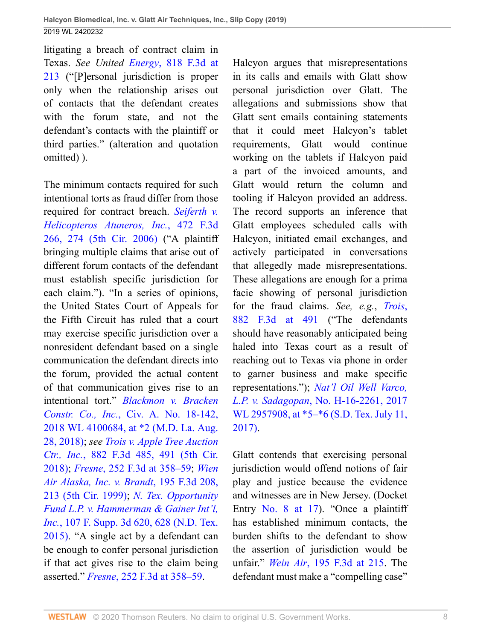litigating a breach of contract claim in Texas. *See United Energy*[, 818 F.3d at](http://www.westlaw.com/Link/Document/FullText?findType=Y&serNum=2038594900&pubNum=0000506&originatingDoc=Iea98eb908c0b11e998e8870e22e55653&refType=RP&fi=co_pp_sp_506_213&originationContext=document&vr=3.0&rs=cblt1.0&transitionType=DocumentItem&contextData=(sc.UserEnteredCitation)#co_pp_sp_506_213) [213](http://www.westlaw.com/Link/Document/FullText?findType=Y&serNum=2038594900&pubNum=0000506&originatingDoc=Iea98eb908c0b11e998e8870e22e55653&refType=RP&fi=co_pp_sp_506_213&originationContext=document&vr=3.0&rs=cblt1.0&transitionType=DocumentItem&contextData=(sc.UserEnteredCitation)#co_pp_sp_506_213) ("[P]ersonal jurisdiction is proper only when the relationship arises out of contacts that the defendant creates with the forum state, and not the defendant's contacts with the plaintiff or third parties." (alteration and quotation omitted) ).

The minimum contacts required for such intentional torts as fraud differ from those required for contract breach. *[Seiferth v.](http://www.westlaw.com/Link/Document/FullText?findType=Y&serNum=2010850746&pubNum=0000506&originatingDoc=Iea98eb908c0b11e998e8870e22e55653&refType=RP&fi=co_pp_sp_506_274&originationContext=document&vr=3.0&rs=cblt1.0&transitionType=DocumentItem&contextData=(sc.UserEnteredCitation)#co_pp_sp_506_274) [Helicopteros Atuneros, Inc.](http://www.westlaw.com/Link/Document/FullText?findType=Y&serNum=2010850746&pubNum=0000506&originatingDoc=Iea98eb908c0b11e998e8870e22e55653&refType=RP&fi=co_pp_sp_506_274&originationContext=document&vr=3.0&rs=cblt1.0&transitionType=DocumentItem&contextData=(sc.UserEnteredCitation)#co_pp_sp_506_274)*, 472 F.3d [266, 274 \(5th Cir. 2006\)](http://www.westlaw.com/Link/Document/FullText?findType=Y&serNum=2010850746&pubNum=0000506&originatingDoc=Iea98eb908c0b11e998e8870e22e55653&refType=RP&fi=co_pp_sp_506_274&originationContext=document&vr=3.0&rs=cblt1.0&transitionType=DocumentItem&contextData=(sc.UserEnteredCitation)#co_pp_sp_506_274) ("A plaintiff bringing multiple claims that arise out of different forum contacts of the defendant must establish specific jurisdiction for each claim."). "In a series of opinions, the United States Court of Appeals for the Fifth Circuit has ruled that a court may exercise specific jurisdiction over a nonresident defendant based on a single communication the defendant directs into the forum, provided the actual content of that communication gives rise to an intentional tort." *[Blackmon v. Bracken](http://www.westlaw.com/Link/Document/FullText?findType=Y&serNum=2045384007&pubNum=0000999&originatingDoc=Iea98eb908c0b11e998e8870e22e55653&refType=RP&originationContext=document&vr=3.0&rs=cblt1.0&transitionType=DocumentItem&contextData=(sc.UserEnteredCitation)) Constr. Co., Inc.*[, Civ. A. No. 18-142,](http://www.westlaw.com/Link/Document/FullText?findType=Y&serNum=2045384007&pubNum=0000999&originatingDoc=Iea98eb908c0b11e998e8870e22e55653&refType=RP&originationContext=document&vr=3.0&rs=cblt1.0&transitionType=DocumentItem&contextData=(sc.UserEnteredCitation)) [2018 WL 4100684, at \\*2 \(M.D. La. Aug.](http://www.westlaw.com/Link/Document/FullText?findType=Y&serNum=2045384007&pubNum=0000999&originatingDoc=Iea98eb908c0b11e998e8870e22e55653&refType=RP&originationContext=document&vr=3.0&rs=cblt1.0&transitionType=DocumentItem&contextData=(sc.UserEnteredCitation)) [28, 2018\);](http://www.westlaw.com/Link/Document/FullText?findType=Y&serNum=2045384007&pubNum=0000999&originatingDoc=Iea98eb908c0b11e998e8870e22e55653&refType=RP&originationContext=document&vr=3.0&rs=cblt1.0&transitionType=DocumentItem&contextData=(sc.UserEnteredCitation)) *see [Trois v. Apple Tree Auction](http://www.westlaw.com/Link/Document/FullText?findType=Y&serNum=2043752709&pubNum=0000506&originatingDoc=Iea98eb908c0b11e998e8870e22e55653&refType=RP&fi=co_pp_sp_506_491&originationContext=document&vr=3.0&rs=cblt1.0&transitionType=DocumentItem&contextData=(sc.UserEnteredCitation)#co_pp_sp_506_491) Ctr., Inc.*[, 882 F.3d 485, 491 \(5th Cir.](http://www.westlaw.com/Link/Document/FullText?findType=Y&serNum=2043752709&pubNum=0000506&originatingDoc=Iea98eb908c0b11e998e8870e22e55653&refType=RP&fi=co_pp_sp_506_491&originationContext=document&vr=3.0&rs=cblt1.0&transitionType=DocumentItem&contextData=(sc.UserEnteredCitation)#co_pp_sp_506_491) [2018\)](http://www.westlaw.com/Link/Document/FullText?findType=Y&serNum=2043752709&pubNum=0000506&originatingDoc=Iea98eb908c0b11e998e8870e22e55653&refType=RP&fi=co_pp_sp_506_491&originationContext=document&vr=3.0&rs=cblt1.0&transitionType=DocumentItem&contextData=(sc.UserEnteredCitation)#co_pp_sp_506_491); *Fresne*[, 252 F.3d at 358–59;](http://www.westlaw.com/Link/Document/FullText?findType=Y&serNum=2001406638&pubNum=0000506&originatingDoc=Iea98eb908c0b11e998e8870e22e55653&refType=RP&fi=co_pp_sp_506_358&originationContext=document&vr=3.0&rs=cblt1.0&transitionType=DocumentItem&contextData=(sc.UserEnteredCitation)#co_pp_sp_506_358) *[Wien](http://www.westlaw.com/Link/Document/FullText?findType=Y&serNum=1999247118&pubNum=0000506&originatingDoc=Iea98eb908c0b11e998e8870e22e55653&refType=RP&fi=co_pp_sp_506_213&originationContext=document&vr=3.0&rs=cblt1.0&transitionType=DocumentItem&contextData=(sc.UserEnteredCitation)#co_pp_sp_506_213) [Air Alaska, Inc. v. Brandt](http://www.westlaw.com/Link/Document/FullText?findType=Y&serNum=1999247118&pubNum=0000506&originatingDoc=Iea98eb908c0b11e998e8870e22e55653&refType=RP&fi=co_pp_sp_506_213&originationContext=document&vr=3.0&rs=cblt1.0&transitionType=DocumentItem&contextData=(sc.UserEnteredCitation)#co_pp_sp_506_213)*, 195 F.3d 208, [213 \(5th Cir. 1999\)](http://www.westlaw.com/Link/Document/FullText?findType=Y&serNum=1999247118&pubNum=0000506&originatingDoc=Iea98eb908c0b11e998e8870e22e55653&refType=RP&fi=co_pp_sp_506_213&originationContext=document&vr=3.0&rs=cblt1.0&transitionType=DocumentItem&contextData=(sc.UserEnteredCitation)#co_pp_sp_506_213); *[N. Tex. Opportunity](http://www.westlaw.com/Link/Document/FullText?findType=Y&serNum=2036379171&pubNum=0007903&originatingDoc=Iea98eb908c0b11e998e8870e22e55653&refType=RP&fi=co_pp_sp_7903_628&originationContext=document&vr=3.0&rs=cblt1.0&transitionType=DocumentItem&contextData=(sc.UserEnteredCitation)#co_pp_sp_7903_628) [Fund L.P. v. Hammerman & Gainer Int'l,](http://www.westlaw.com/Link/Document/FullText?findType=Y&serNum=2036379171&pubNum=0007903&originatingDoc=Iea98eb908c0b11e998e8870e22e55653&refType=RP&fi=co_pp_sp_7903_628&originationContext=document&vr=3.0&rs=cblt1.0&transitionType=DocumentItem&contextData=(sc.UserEnteredCitation)#co_pp_sp_7903_628) Inc.*[, 107 F. Supp. 3d 620, 628 \(N.D. Tex.](http://www.westlaw.com/Link/Document/FullText?findType=Y&serNum=2036379171&pubNum=0007903&originatingDoc=Iea98eb908c0b11e998e8870e22e55653&refType=RP&fi=co_pp_sp_7903_628&originationContext=document&vr=3.0&rs=cblt1.0&transitionType=DocumentItem&contextData=(sc.UserEnteredCitation)#co_pp_sp_7903_628) [2015\)](http://www.westlaw.com/Link/Document/FullText?findType=Y&serNum=2036379171&pubNum=0007903&originatingDoc=Iea98eb908c0b11e998e8870e22e55653&refType=RP&fi=co_pp_sp_7903_628&originationContext=document&vr=3.0&rs=cblt1.0&transitionType=DocumentItem&contextData=(sc.UserEnteredCitation)#co_pp_sp_7903_628). "A single act by a defendant can be enough to confer personal jurisdiction if that act gives rise to the claim being asserted." *Fresne*[, 252 F.3d at 358–59](http://www.westlaw.com/Link/Document/FullText?findType=Y&serNum=2001406638&pubNum=0000506&originatingDoc=Iea98eb908c0b11e998e8870e22e55653&refType=RP&fi=co_pp_sp_506_358&originationContext=document&vr=3.0&rs=cblt1.0&transitionType=DocumentItem&contextData=(sc.UserEnteredCitation)#co_pp_sp_506_358).

Halcyon argues that misrepresentations in its calls and emails with Glatt show personal jurisdiction over Glatt. The allegations and submissions show that Glatt sent emails containing statements that it could meet Halcyon's tablet requirements, Glatt would continue working on the tablets if Halcyon paid a part of the invoiced amounts, and Glatt would return the column and tooling if Halcyon provided an address. The record supports an inference that Glatt employees scheduled calls with Halcyon, initiated email exchanges, and actively participated in conversations that allegedly made misrepresentations. These allegations are enough for a prima facie showing of personal jurisdiction for the fraud claims. *See, e.g.*, *[Trois](http://www.westlaw.com/Link/Document/FullText?findType=Y&serNum=2043752709&pubNum=0000506&originatingDoc=Iea98eb908c0b11e998e8870e22e55653&refType=RP&fi=co_pp_sp_506_491&originationContext=document&vr=3.0&rs=cblt1.0&transitionType=DocumentItem&contextData=(sc.UserEnteredCitation)#co_pp_sp_506_491)*, [882 F.3d at 491](http://www.westlaw.com/Link/Document/FullText?findType=Y&serNum=2043752709&pubNum=0000506&originatingDoc=Iea98eb908c0b11e998e8870e22e55653&refType=RP&fi=co_pp_sp_506_491&originationContext=document&vr=3.0&rs=cblt1.0&transitionType=DocumentItem&contextData=(sc.UserEnteredCitation)#co_pp_sp_506_491) ("The defendants should have reasonably anticipated being haled into Texas court as a result of reaching out to Texas via phone in order to garner business and make specific representations."); *[Nat'l Oil Well Varco,](http://www.westlaw.com/Link/Document/FullText?findType=Y&serNum=2042146292&pubNum=0000999&originatingDoc=Iea98eb908c0b11e998e8870e22e55653&refType=RP&originationContext=document&vr=3.0&rs=cblt1.0&transitionType=DocumentItem&contextData=(sc.UserEnteredCitation)) L.P. v. Sadagopan*[, No. H-16-2261, 2017](http://www.westlaw.com/Link/Document/FullText?findType=Y&serNum=2042146292&pubNum=0000999&originatingDoc=Iea98eb908c0b11e998e8870e22e55653&refType=RP&originationContext=document&vr=3.0&rs=cblt1.0&transitionType=DocumentItem&contextData=(sc.UserEnteredCitation)) [WL 2957908, at \\*5–\\*6 \(S.D. Tex. July 11,](http://www.westlaw.com/Link/Document/FullText?findType=Y&serNum=2042146292&pubNum=0000999&originatingDoc=Iea98eb908c0b11e998e8870e22e55653&refType=RP&originationContext=document&vr=3.0&rs=cblt1.0&transitionType=DocumentItem&contextData=(sc.UserEnteredCitation)) [2017\)](http://www.westlaw.com/Link/Document/FullText?findType=Y&serNum=2042146292&pubNum=0000999&originatingDoc=Iea98eb908c0b11e998e8870e22e55653&refType=RP&originationContext=document&vr=3.0&rs=cblt1.0&transitionType=DocumentItem&contextData=(sc.UserEnteredCitation)).

Glatt contends that exercising personal jurisdiction would offend notions of fair play and justice because the evidence and witnesses are in New Jersey. (Docket Entry [No. 8 at 17](http://www.westlaw.com/Link/Document/FullText?findType=Y&pubNum=0003024&cite=NO8&originatingDoc=Iea98eb908c0b11e998e8870e22e55653&refType=RP&fi=co_pp_sp_3024_17&originationContext=document&vr=3.0&rs=cblt1.0&transitionType=DocumentItem&contextData=(sc.UserEnteredCitation)#co_pp_sp_3024_17)). "Once a plaintiff has established minimum contacts, the burden shifts to the defendant to show the assertion of jurisdiction would be unfair." *Wein Air*[, 195 F.3d at 215](http://www.westlaw.com/Link/Document/FullText?findType=Y&serNum=1999247118&pubNum=0000506&originatingDoc=Iea98eb908c0b11e998e8870e22e55653&refType=RP&fi=co_pp_sp_506_215&originationContext=document&vr=3.0&rs=cblt1.0&transitionType=DocumentItem&contextData=(sc.UserEnteredCitation)#co_pp_sp_506_215). The defendant must make a "compelling case"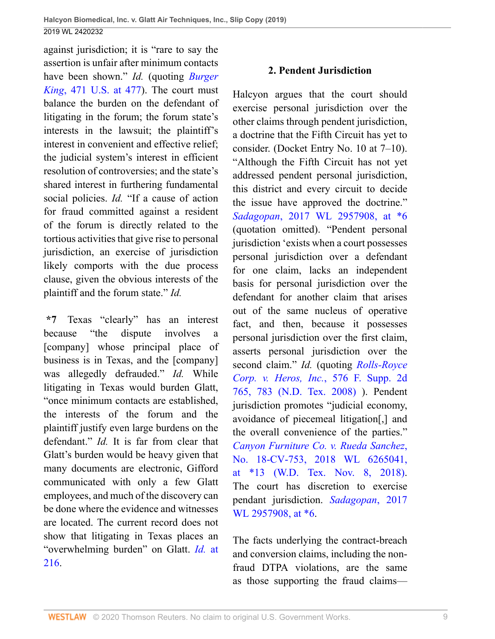against jurisdiction; it is "rare to say the assertion is unfair after minimum contacts have been shown." *Id.* (quoting *[Burger](http://www.westlaw.com/Link/Document/FullText?findType=Y&serNum=1985125841&pubNum=0000780&originatingDoc=Iea98eb908c0b11e998e8870e22e55653&refType=RP&fi=co_pp_sp_780_477&originationContext=document&vr=3.0&rs=cblt1.0&transitionType=DocumentItem&contextData=(sc.UserEnteredCitation)#co_pp_sp_780_477) King*[, 471 U.S. at 477\)](http://www.westlaw.com/Link/Document/FullText?findType=Y&serNum=1985125841&pubNum=0000780&originatingDoc=Iea98eb908c0b11e998e8870e22e55653&refType=RP&fi=co_pp_sp_780_477&originationContext=document&vr=3.0&rs=cblt1.0&transitionType=DocumentItem&contextData=(sc.UserEnteredCitation)#co_pp_sp_780_477). The court must balance the burden on the defendant of litigating in the forum; the forum state's interests in the lawsuit; the plaintiff's interest in convenient and effective relief; the judicial system's interest in efficient resolution of controversies; and the state's shared interest in furthering fundamental social policies. *Id.* "If a cause of action for fraud committed against a resident of the forum is directly related to the tortious activities that give rise to personal jurisdiction, an exercise of jurisdiction likely comports with the due process clause, given the obvious interests of the plaintiff and the forum state." *Id.*

**\*7** Texas "clearly" has an interest because "the dispute involves a [company] whose principal place of business is in Texas, and the [company] was allegedly defrauded." *Id.* While litigating in Texas would burden Glatt, "once minimum contacts are established, the interests of the forum and the plaintiff justify even large burdens on the defendant." *Id.* It is far from clear that Glatt's burden would be heavy given that many documents are electronic, Gifford communicated with only a few Glatt employees, and much of the discovery can be done where the evidence and witnesses are located. The current record does not show that litigating in Texas places an "overwhelming burden" on Glatt. *[Id.](http://www.westlaw.com/Link/Document/FullText?findType=Y&serNum=1999247118&pubNum=0000506&originatingDoc=Iea98eb908c0b11e998e8870e22e55653&refType=RP&fi=co_pp_sp_506_216&originationContext=document&vr=3.0&rs=cblt1.0&transitionType=DocumentItem&contextData=(sc.UserEnteredCitation)#co_pp_sp_506_216)* at [216.](http://www.westlaw.com/Link/Document/FullText?findType=Y&serNum=1999247118&pubNum=0000506&originatingDoc=Iea98eb908c0b11e998e8870e22e55653&refType=RP&fi=co_pp_sp_506_216&originationContext=document&vr=3.0&rs=cblt1.0&transitionType=DocumentItem&contextData=(sc.UserEnteredCitation)#co_pp_sp_506_216)

#### **2. Pendent Jurisdiction**

Halcyon argues that the court should exercise personal jurisdiction over the other claims through pendent jurisdiction, a doctrine that the Fifth Circuit has yet to consider. (Docket Entry No. 10 at 7–10). "Although the Fifth Circuit has not yet addressed pendent personal jurisdiction, this district and every circuit to decide the issue have approved the doctrine." *Sadagopan*[, 2017 WL 2957908, at \\*6](http://www.westlaw.com/Link/Document/FullText?findType=Y&serNum=2042146292&pubNum=0000999&originatingDoc=Iea98eb908c0b11e998e8870e22e55653&refType=RP&originationContext=document&vr=3.0&rs=cblt1.0&transitionType=DocumentItem&contextData=(sc.UserEnteredCitation)) (quotation omitted). "Pendent personal jurisdiction 'exists when a court possesses personal jurisdiction over a defendant for one claim, lacks an independent basis for personal jurisdiction over the defendant for another claim that arises out of the same nucleus of operative fact, and then, because it possesses personal jurisdiction over the first claim, asserts personal jurisdiction over the second claim." *Id.* (quoting *[Rolls-Royce](http://www.westlaw.com/Link/Document/FullText?findType=Y&serNum=2015563684&pubNum=0004637&originatingDoc=Iea98eb908c0b11e998e8870e22e55653&refType=RP&fi=co_pp_sp_4637_783&originationContext=document&vr=3.0&rs=cblt1.0&transitionType=DocumentItem&contextData=(sc.UserEnteredCitation)#co_pp_sp_4637_783) [Corp. v. Heros, Inc.](http://www.westlaw.com/Link/Document/FullText?findType=Y&serNum=2015563684&pubNum=0004637&originatingDoc=Iea98eb908c0b11e998e8870e22e55653&refType=RP&fi=co_pp_sp_4637_783&originationContext=document&vr=3.0&rs=cblt1.0&transitionType=DocumentItem&contextData=(sc.UserEnteredCitation)#co_pp_sp_4637_783)*, 576 F. Supp. 2d [765, 783 \(N.D. Tex. 2008\)](http://www.westlaw.com/Link/Document/FullText?findType=Y&serNum=2015563684&pubNum=0004637&originatingDoc=Iea98eb908c0b11e998e8870e22e55653&refType=RP&fi=co_pp_sp_4637_783&originationContext=document&vr=3.0&rs=cblt1.0&transitionType=DocumentItem&contextData=(sc.UserEnteredCitation)#co_pp_sp_4637_783) ). Pendent jurisdiction promotes "judicial economy, avoidance of piecemeal litigation[,] and the overall convenience of the parties." *[Canyon Furniture Co. v. Rueda Sanchez](http://www.westlaw.com/Link/Document/FullText?findType=Y&serNum=2046147598&pubNum=0000999&originatingDoc=Iea98eb908c0b11e998e8870e22e55653&refType=RP&originationContext=document&vr=3.0&rs=cblt1.0&transitionType=DocumentItem&contextData=(sc.UserEnteredCitation))*, [No. 18-CV-753, 2018 WL 6265041,](http://www.westlaw.com/Link/Document/FullText?findType=Y&serNum=2046147598&pubNum=0000999&originatingDoc=Iea98eb908c0b11e998e8870e22e55653&refType=RP&originationContext=document&vr=3.0&rs=cblt1.0&transitionType=DocumentItem&contextData=(sc.UserEnteredCitation)) [at \\*13 \(W.D. Tex. Nov. 8, 2018\).](http://www.westlaw.com/Link/Document/FullText?findType=Y&serNum=2046147598&pubNum=0000999&originatingDoc=Iea98eb908c0b11e998e8870e22e55653&refType=RP&originationContext=document&vr=3.0&rs=cblt1.0&transitionType=DocumentItem&contextData=(sc.UserEnteredCitation)) The court has discretion to exercise pendant jurisdiction. *[Sadagopan](http://www.westlaw.com/Link/Document/FullText?findType=Y&serNum=2042146292&pubNum=0000999&originatingDoc=Iea98eb908c0b11e998e8870e22e55653&refType=RP&originationContext=document&vr=3.0&rs=cblt1.0&transitionType=DocumentItem&contextData=(sc.UserEnteredCitation))*, 2017 WL 2957908, at  $*6$ .

The facts underlying the contract-breach and conversion claims, including the nonfraud DTPA violations, are the same as those supporting the fraud claims—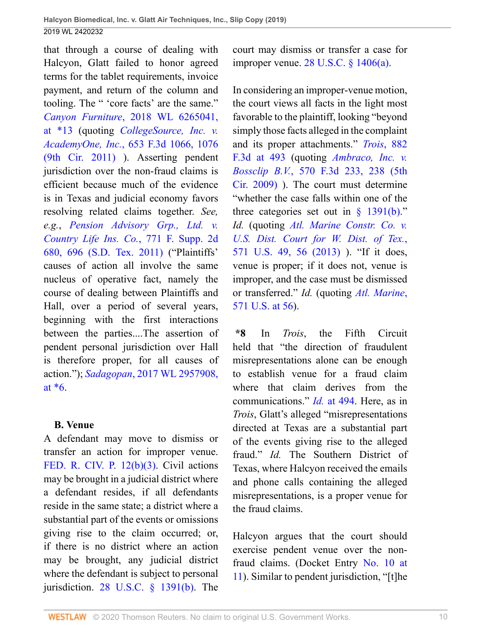that through a course of dealing with Halcyon, Glatt failed to honor agreed terms for the tablet requirements, invoice payment, and return of the column and tooling. The " 'core facts' are the same." *Canyon Furniture*[, 2018 WL 6265041,](http://www.westlaw.com/Link/Document/FullText?findType=Y&serNum=2046147598&pubNum=0000999&originatingDoc=Iea98eb908c0b11e998e8870e22e55653&refType=RP&originationContext=document&vr=3.0&rs=cblt1.0&transitionType=DocumentItem&contextData=(sc.UserEnteredCitation)) [at \\*13](http://www.westlaw.com/Link/Document/FullText?findType=Y&serNum=2046147598&pubNum=0000999&originatingDoc=Iea98eb908c0b11e998e8870e22e55653&refType=RP&originationContext=document&vr=3.0&rs=cblt1.0&transitionType=DocumentItem&contextData=(sc.UserEnteredCitation)) (quoting *[CollegeSource, Inc. v.](http://www.westlaw.com/Link/Document/FullText?findType=Y&serNum=2025832719&pubNum=0000506&originatingDoc=Iea98eb908c0b11e998e8870e22e55653&refType=RP&fi=co_pp_sp_506_1076&originationContext=document&vr=3.0&rs=cblt1.0&transitionType=DocumentItem&contextData=(sc.UserEnteredCitation)#co_pp_sp_506_1076) AcademyOne, Inc.*[, 653 F.3d 1066, 1076](http://www.westlaw.com/Link/Document/FullText?findType=Y&serNum=2025832719&pubNum=0000506&originatingDoc=Iea98eb908c0b11e998e8870e22e55653&refType=RP&fi=co_pp_sp_506_1076&originationContext=document&vr=3.0&rs=cblt1.0&transitionType=DocumentItem&contextData=(sc.UserEnteredCitation)#co_pp_sp_506_1076) [\(9th Cir. 2011\)](http://www.westlaw.com/Link/Document/FullText?findType=Y&serNum=2025832719&pubNum=0000506&originatingDoc=Iea98eb908c0b11e998e8870e22e55653&refType=RP&fi=co_pp_sp_506_1076&originationContext=document&vr=3.0&rs=cblt1.0&transitionType=DocumentItem&contextData=(sc.UserEnteredCitation)#co_pp_sp_506_1076) ). Asserting pendent jurisdiction over the non-fraud claims is efficient because much of the evidence is in Texas and judicial economy favors resolving related claims together. *See, e.g.*, *[Pension Advisory Grp., Ltd. v.](http://www.westlaw.com/Link/Document/FullText?findType=Y&serNum=2024655397&pubNum=0004637&originatingDoc=Iea98eb908c0b11e998e8870e22e55653&refType=RP&fi=co_pp_sp_4637_696&originationContext=document&vr=3.0&rs=cblt1.0&transitionType=DocumentItem&contextData=(sc.UserEnteredCitation)#co_pp_sp_4637_696) [Country Life Ins. Co.](http://www.westlaw.com/Link/Document/FullText?findType=Y&serNum=2024655397&pubNum=0004637&originatingDoc=Iea98eb908c0b11e998e8870e22e55653&refType=RP&fi=co_pp_sp_4637_696&originationContext=document&vr=3.0&rs=cblt1.0&transitionType=DocumentItem&contextData=(sc.UserEnteredCitation)#co_pp_sp_4637_696)*, 771 F. Supp. 2d [680, 696 \(S.D. Tex. 2011\)](http://www.westlaw.com/Link/Document/FullText?findType=Y&serNum=2024655397&pubNum=0004637&originatingDoc=Iea98eb908c0b11e998e8870e22e55653&refType=RP&fi=co_pp_sp_4637_696&originationContext=document&vr=3.0&rs=cblt1.0&transitionType=DocumentItem&contextData=(sc.UserEnteredCitation)#co_pp_sp_4637_696) ("Plaintiffs' causes of action all involve the same nucleus of operative fact, namely the course of dealing between Plaintiffs and Hall, over a period of several years, beginning with the first interactions between the parties....The assertion of pendent personal jurisdiction over Hall is therefore proper, for all causes of action."); *Sadagopan*[, 2017 WL 2957908,](http://www.westlaw.com/Link/Document/FullText?findType=Y&serNum=2042146292&pubNum=0000999&originatingDoc=Iea98eb908c0b11e998e8870e22e55653&refType=RP&originationContext=document&vr=3.0&rs=cblt1.0&transitionType=DocumentItem&contextData=(sc.UserEnteredCitation)) [at \\*6.](http://www.westlaw.com/Link/Document/FullText?findType=Y&serNum=2042146292&pubNum=0000999&originatingDoc=Iea98eb908c0b11e998e8870e22e55653&refType=RP&originationContext=document&vr=3.0&rs=cblt1.0&transitionType=DocumentItem&contextData=(sc.UserEnteredCitation))

# **B. Venue**

A defendant may move to dismiss or transfer an action for improper venue. [FED. R. CIV. P. 12\(b\)\(3\).](http://www.westlaw.com/Link/Document/FullText?findType=L&pubNum=1000600&cite=USFRCPR12&originatingDoc=Iea98eb908c0b11e998e8870e22e55653&refType=LQ&originationContext=document&vr=3.0&rs=cblt1.0&transitionType=DocumentItem&contextData=(sc.UserEnteredCitation)) Civil actions may be brought in a judicial district where a defendant resides, if all defendants reside in the same state; a district where a substantial part of the events or omissions giving rise to the claim occurred; or, if there is no district where an action may be brought, any judicial district where the defendant is subject to personal jurisdiction. [28 U.S.C. § 1391\(b\).](http://www.westlaw.com/Link/Document/FullText?findType=L&pubNum=1000546&cite=28USCAS1391&originatingDoc=Iea98eb908c0b11e998e8870e22e55653&refType=RB&originationContext=document&vr=3.0&rs=cblt1.0&transitionType=DocumentItem&contextData=(sc.UserEnteredCitation)#co_pp_a83b000018c76) The

court may dismiss or transfer a case for improper venue. [28 U.S.C. § 1406\(a\)](http://www.westlaw.com/Link/Document/FullText?findType=L&pubNum=1000546&cite=28USCAS1406&originatingDoc=Iea98eb908c0b11e998e8870e22e55653&refType=RB&originationContext=document&vr=3.0&rs=cblt1.0&transitionType=DocumentItem&contextData=(sc.UserEnteredCitation)#co_pp_8b3b0000958a4).

In considering an improper-venue motion, the court views all facts in the light most favorable to the plaintiff, looking "beyond simply those facts alleged in the complaint and its proper attachments." *Trois*[, 882](http://www.westlaw.com/Link/Document/FullText?findType=Y&serNum=2043752709&pubNum=0000506&originatingDoc=Iea98eb908c0b11e998e8870e22e55653&refType=RP&fi=co_pp_sp_506_493&originationContext=document&vr=3.0&rs=cblt1.0&transitionType=DocumentItem&contextData=(sc.UserEnteredCitation)#co_pp_sp_506_493) [F.3d at 493](http://www.westlaw.com/Link/Document/FullText?findType=Y&serNum=2043752709&pubNum=0000506&originatingDoc=Iea98eb908c0b11e998e8870e22e55653&refType=RP&fi=co_pp_sp_506_493&originationContext=document&vr=3.0&rs=cblt1.0&transitionType=DocumentItem&contextData=(sc.UserEnteredCitation)#co_pp_sp_506_493) (quoting *[Ambraco, Inc. v.](http://www.westlaw.com/Link/Document/FullText?findType=Y&serNum=2018926676&pubNum=0000506&originatingDoc=Iea98eb908c0b11e998e8870e22e55653&refType=RP&fi=co_pp_sp_506_238&originationContext=document&vr=3.0&rs=cblt1.0&transitionType=DocumentItem&contextData=(sc.UserEnteredCitation)#co_pp_sp_506_238) Bossclip B.V.*[, 570 F.3d 233, 238 \(5th](http://www.westlaw.com/Link/Document/FullText?findType=Y&serNum=2018926676&pubNum=0000506&originatingDoc=Iea98eb908c0b11e998e8870e22e55653&refType=RP&fi=co_pp_sp_506_238&originationContext=document&vr=3.0&rs=cblt1.0&transitionType=DocumentItem&contextData=(sc.UserEnteredCitation)#co_pp_sp_506_238) [Cir. 2009\)](http://www.westlaw.com/Link/Document/FullText?findType=Y&serNum=2018926676&pubNum=0000506&originatingDoc=Iea98eb908c0b11e998e8870e22e55653&refType=RP&fi=co_pp_sp_506_238&originationContext=document&vr=3.0&rs=cblt1.0&transitionType=DocumentItem&contextData=(sc.UserEnteredCitation)#co_pp_sp_506_238) ). The court must determine "whether the case falls within one of the three categories set out in  $\frac{8}{9}$  1391(b)." *Id.* (quoting *[Atl. Marine Constr. Co. v.](http://www.westlaw.com/Link/Document/FullText?findType=Y&serNum=2032188004&pubNum=0000780&originatingDoc=Iea98eb908c0b11e998e8870e22e55653&refType=RP&fi=co_pp_sp_780_56&originationContext=document&vr=3.0&rs=cblt1.0&transitionType=DocumentItem&contextData=(sc.UserEnteredCitation)#co_pp_sp_780_56) [U.S. Dist. Court for W. Dist. of Tex.](http://www.westlaw.com/Link/Document/FullText?findType=Y&serNum=2032188004&pubNum=0000780&originatingDoc=Iea98eb908c0b11e998e8870e22e55653&refType=RP&fi=co_pp_sp_780_56&originationContext=document&vr=3.0&rs=cblt1.0&transitionType=DocumentItem&contextData=(sc.UserEnteredCitation)#co_pp_sp_780_56)*, [571 U.S. 49, 56 \(2013\) \)](http://www.westlaw.com/Link/Document/FullText?findType=Y&serNum=2032188004&pubNum=0000780&originatingDoc=Iea98eb908c0b11e998e8870e22e55653&refType=RP&fi=co_pp_sp_780_56&originationContext=document&vr=3.0&rs=cblt1.0&transitionType=DocumentItem&contextData=(sc.UserEnteredCitation)#co_pp_sp_780_56). "If it does, venue is proper; if it does not, venue is improper, and the case must be dismissed or transferred." *Id.* (quoting *[Atl. Marine](http://www.westlaw.com/Link/Document/FullText?findType=Y&serNum=2032188004&pubNum=0000780&originatingDoc=Iea98eb908c0b11e998e8870e22e55653&refType=RP&fi=co_pp_sp_780_56&originationContext=document&vr=3.0&rs=cblt1.0&transitionType=DocumentItem&contextData=(sc.UserEnteredCitation)#co_pp_sp_780_56)*, [571 U.S. at 56\)](http://www.westlaw.com/Link/Document/FullText?findType=Y&serNum=2032188004&pubNum=0000780&originatingDoc=Iea98eb908c0b11e998e8870e22e55653&refType=RP&fi=co_pp_sp_780_56&originationContext=document&vr=3.0&rs=cblt1.0&transitionType=DocumentItem&contextData=(sc.UserEnteredCitation)#co_pp_sp_780_56).

**\*8** In *Trois*, the Fifth Circuit held that "the direction of fraudulent misrepresentations alone can be enough to establish venue for a fraud claim where that claim derives from the communications." *Id.* [at 494.](http://www.westlaw.com/Link/Document/FullText?findType=Y&serNum=2043752709&pubNum=0000506&originatingDoc=Iea98eb908c0b11e998e8870e22e55653&refType=RP&fi=co_pp_sp_506_494&originationContext=document&vr=3.0&rs=cblt1.0&transitionType=DocumentItem&contextData=(sc.UserEnteredCitation)#co_pp_sp_506_494) Here, as in *Trois*, Glatt's alleged "misrepresentations directed at Texas are a substantial part of the events giving rise to the alleged fraud." *Id.* The Southern District of Texas, where Halcyon received the emails and phone calls containing the alleged misrepresentations, is a proper venue for the fraud claims.

Halcyon argues that the court should exercise pendent venue over the nonfraud claims. (Docket Entry [No. 10 at](http://www.westlaw.com/Link/Document/FullText?findType=Y&pubNum=0003024&cite=NO10&originatingDoc=Iea98eb908c0b11e998e8870e22e55653&refType=RP&fi=co_pp_sp_3024_11&originationContext=document&vr=3.0&rs=cblt1.0&transitionType=DocumentItem&contextData=(sc.UserEnteredCitation)#co_pp_sp_3024_11) [11\)](http://www.westlaw.com/Link/Document/FullText?findType=Y&pubNum=0003024&cite=NO10&originatingDoc=Iea98eb908c0b11e998e8870e22e55653&refType=RP&fi=co_pp_sp_3024_11&originationContext=document&vr=3.0&rs=cblt1.0&transitionType=DocumentItem&contextData=(sc.UserEnteredCitation)#co_pp_sp_3024_11). Similar to pendent jurisdiction, "[t]he